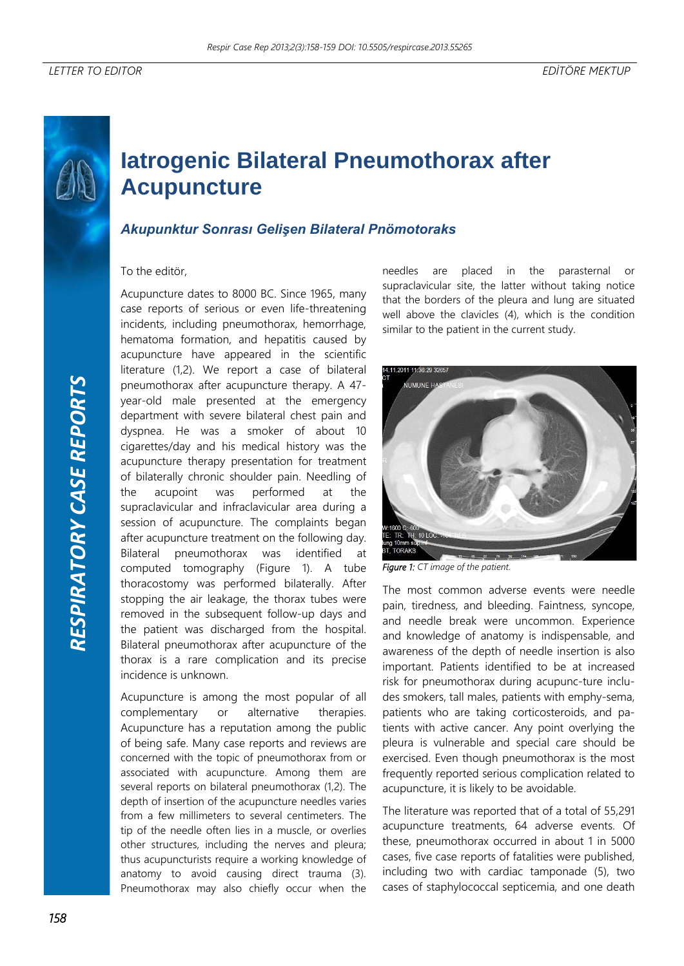## **Iatrogenic Bilateral Pneumothorax after Acupuncture**

## *Akupunktur Sonrası Gelişen Bilateral Pnömotoraks*

To the editör,

Acupuncture dates to 8000 BC. Since 1965, many case reports of serious or even life-threatening incidents, including pneumothorax, hemorrhage, hematoma formation, and hepatitis caused by acupuncture have appeared in the scientific literature (1,2). We report a case of bilateral pneumothorax after acupuncture therapy. A 47 year-old male presented at the emergency department with severe bilateral chest pain and dyspnea. He was a smoker of about 10 cigarettes/day and his medical history was the acupuncture therapy presentation for treatment of bilaterally chronic shoulder pain. Needling of the acupoint was performed at the supraclavicular and infraclavicular area during a session of acupuncture. The complaints began after acupuncture treatment on the following day. Bilateral pneumothorax was identified at computed tomography (Figure 1). A tube thoracostomy was performed bilaterally. After stopping the air leakage, the thorax tubes were removed in the subsequent follow-up days and the patient was discharged from the hospital. Bilateral pneumothorax after acupuncture of the thorax is a rare complication and its precise incidence is unknown.

Acupuncture is among the most popular of all complementary or alternative therapies. Acupuncture has a reputation among the public of being safe. Many case reports and reviews are concerned with the topic of pneumothorax from or associated with acupuncture. Among them are several reports on bilateral pneumothorax (1,2). The depth of insertion of the acupuncture needles varies from a few millimeters to several centimeters. The tip of the needle often lies in a muscle, or overlies other structures, including the nerves and pleura; thus acupuncturists require a working knowledge of anatomy to avoid causing direct trauma (3). Pneumothorax may also chiefly occur when the

needles are placed in the parasternal or supraclavicular site, the latter without taking notice that the borders of the pleura and lung are situated well above the clavicles (4), which is the condition similar to the patient in the current study.



*Figure 1: CT image of the patient.* 

The most common adverse events were needle pain, tiredness, and bleeding. Faintness, syncope, and needle break were uncommon. Experience and knowledge of anatomy is indispensable, and awareness of the depth of needle insertion is also important. Patients identified to be at increased risk for pneumothorax during acupunc-ture includes smokers, tall males, patients with emphy-sema, patients who are taking corticosteroids, and patients with active cancer. Any point overlying the pleura is vulnerable and special care should be exercised. Even though pneumothorax is the most frequently reported serious complication related to acupuncture, it is likely to be avoidable.

The literature was reported that of a total of 55,291 acupuncture treatments, 64 adverse events. Of these, pneumothorax occurred in about 1 in 5000 cases, five case reports of fatalities were published, including two with cardiac tamponade (5), two cases of staphylococcal septicemia, and one death